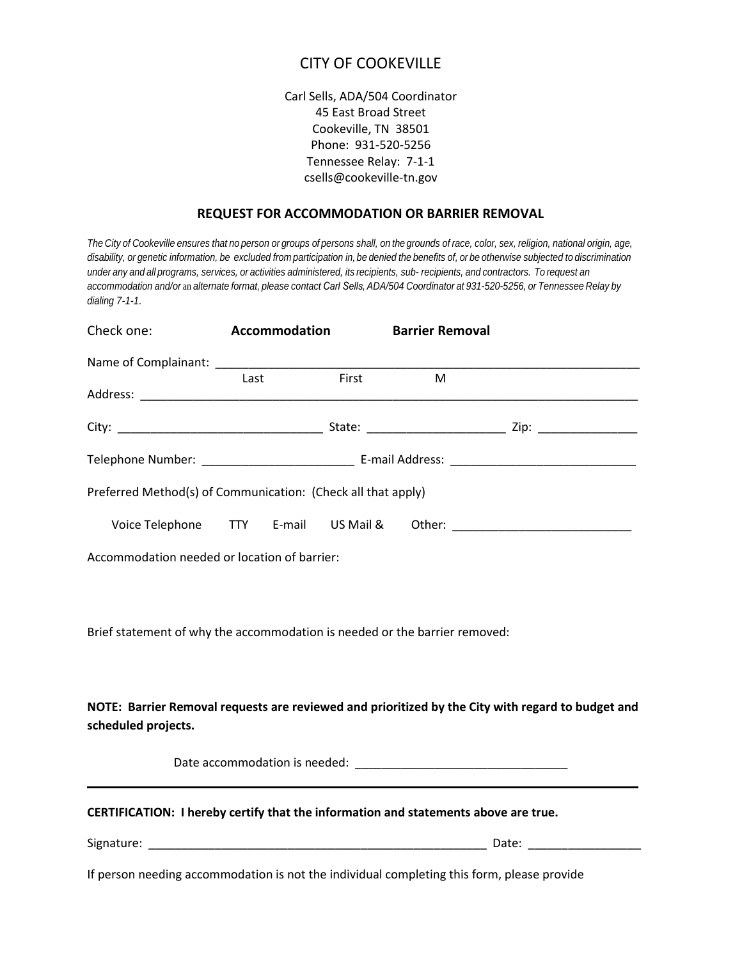## CITY OF COOKEVILLE

Carl Sells, ADA/504 Coordinator 45 East Broad Street Cookeville, TN 38501 Phone: 931-520-5256 Tennessee Relay: 7-1-1 csells@cookeville-tn.gov

## **REQUEST FOR ACCOMMODATION OR BARRIER REMOVAL**

*The City of Cookeville ensures that no person or groups of persons shall, on the grounds of race, color, sex, religion, national origin, age, disability, or genetic information, be excluded from participation in*, *be denied the benefits of, or be otherwise subjected to discrimination under any and all programs, services, or activities administered, its recipients, sub- recipients, and contractors. To request an accommodation and/or* an *alternate format, please contact Carl Sells, ADA/504 Coordinator at 931-520-5256, or Tennessee Relay by dialing 7-1-1.*

| Check one:                                                                                 | <b>Accommodation</b> |       | <b>Barrier Removal</b> |                                                                                                   |
|--------------------------------------------------------------------------------------------|----------------------|-------|------------------------|---------------------------------------------------------------------------------------------------|
|                                                                                            | Last                 | First | M                      |                                                                                                   |
|                                                                                            |                      |       |                        |                                                                                                   |
|                                                                                            |                      |       |                        |                                                                                                   |
| Preferred Method(s) of Communication: (Check all that apply)                               |                      |       |                        |                                                                                                   |
|                                                                                            |                      |       |                        |                                                                                                   |
| Accommodation needed or location of barrier:                                               |                      |       |                        |                                                                                                   |
|                                                                                            |                      |       |                        |                                                                                                   |
| Brief statement of why the accommodation is needed or the barrier removed:                 |                      |       |                        |                                                                                                   |
| scheduled projects.                                                                        |                      |       |                        | NOTE: Barrier Removal requests are reviewed and prioritized by the City with regard to budget and |
|                                                                                            |                      |       |                        |                                                                                                   |
| CERTIFICATION: I hereby certify that the information and statements above are true.        |                      |       |                        |                                                                                                   |
|                                                                                            |                      |       |                        |                                                                                                   |
| If person needing accommodation is not the individual completing this form, please provide |                      |       |                        |                                                                                                   |